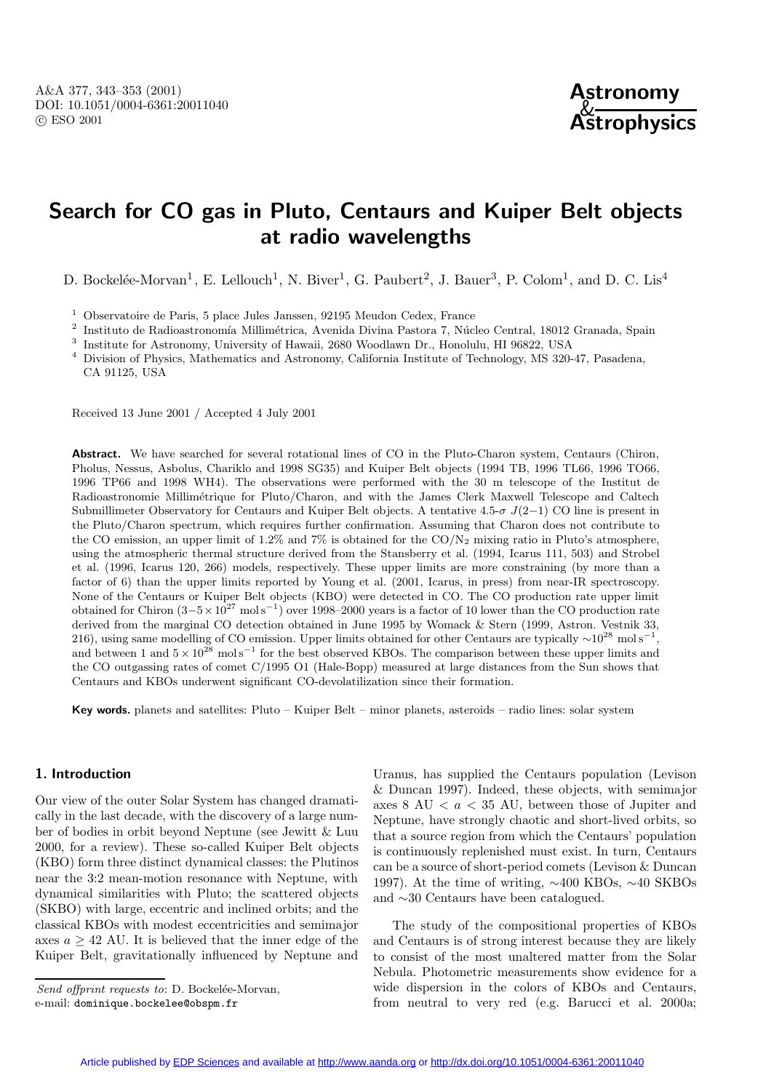

# **Search for CO gas in Pluto, Centaurs and Kuiper Belt objects at radio wavelengths**

D. Bockelée-Morvan<sup>1</sup>, E. Lellouch<sup>1</sup>, N. Biver<sup>1</sup>, G. Paubert<sup>2</sup>, J. Bauer<sup>3</sup>, P. Colom<sup>1</sup>, and D. C. Lis<sup>4</sup>

 $1$  Observatoire de Paris, 5 place Jules Janssen, 92195 Meudon Cedex, France

 $^{\rm 2}$  Instituto de Radioastronomía Millimétrica, Avenida Divina Pastora 7, Núcleo Central, 18012 Granada, Spain

<sup>3</sup> Institute for Astronomy, University of Hawaii, 2680 Woodlawn Dr., Honolulu, HI 96822, USA

<sup>4</sup> Division of Physics, Mathematics and Astronomy, California Institute of Technology, MS 320-47, Pasadena, CA 91125, USA

Received 13 June 2001 / Accepted 4 July 2001

Abstract. We have searched for several rotational lines of CO in the Pluto-Charon system, Centaurs (Chiron, Pholus, Nessus, Asbolus, Chariklo and 1998 SG35) and Kuiper Belt objects (1994 TB, 1996 TL66, 1996 TO66, 1996 TP66 and 1998 WH4). The observations were performed with the 30 m telescope of the Institut de Radioastronomie Millimétrique for Pluto/Charon, and with the James Clerk Maxwell Telescope and Caltech Submillimeter Observatory for Centaurs and Kuiper Belt objects. A tentative 4.5- $\sigma$  J(2−1) CO line is present in the Pluto/Charon spectrum, which requires further confirmation. Assuming that Charon does not contribute to the CO emission, an upper limit of 1.2% and 7% is obtained for the  $CO/N<sub>2</sub>$  mixing ratio in Pluto's atmosphere, using the atmospheric thermal structure derived from the Stansberry et al. (1994, Icarus 111, 503) and Strobel et al. (1996, Icarus 120, 266) models, respectively. These upper limits are more constraining (by more than a factor of 6) than the upper limits reported by Young et al. (2001, Icarus, in press) from near-IR spectroscopy. None of the Centaurs or Kuiper Belt objects (KBO) were detected in CO. The CO production rate upper limit obtained for Chiron  $(3-5\times10^{27} \text{ mol s}^{-1})$  over 1998–2000 years is a factor of 10 lower than the CO production rate derived from the marginal CO detection obtained in June 1995 by Womack & Stern (1999, Astron. Vestnik 33, 216), using same modelling of CO emission. Upper limits obtained for other Centaurs are typically  $\sim 10^{28}$  mol s<sup>−1</sup> and between 1 and  $5 \times 10^{28}$  mol s<sup>-1</sup> for the best observed KBOs. The comparison between these upper limits and the CO outgassing rates of comet C/1995 O1 (Hale-Bopp) measured at large distances from the Sun shows that Centaurs and KBOs underwent significant CO-devolatilization since their formation.

**Key words.** planets and satellites: Pluto – Kuiper Belt – minor planets, asteroids – radio lines: solar system

## **1. Introduction**

Our view of the outer Solar System has changed dramatically in the last decade, with the discovery of a large number of bodies in orbit beyond Neptune (see Jewitt & Luu 2000, for a review). These so-called Kuiper Belt objects (KBO) form three distinct dynamical classes: the Plutinos near the 3:2 mean-motion resonance with Neptune, with dynamical similarities with Pluto; the scattered objects (SKBO) with large, eccentric and inclined orbits; and the classical KBOs with modest eccentricities and semimajor axes  $a \geq 42$  AU. It is believed that the inner edge of the Kuiper Belt, gravitationally influenced by Neptune and

Send offprint requests to: D. Bockelée-Morvan, e-mail: dominique.bockelee@obspm.fr

Uranus, has supplied the Centaurs population (Levison & Duncan 1997). Indeed, these objects, with semimajor axes 8 AU  $\langle a \rangle$  at 35 AU, between those of Jupiter and Neptune, have strongly chaotic and short-lived orbits, so that a source region from which the Centaurs' population is continuously replenished must exist. In turn, Centaurs can be a source of short-period comets (Levison & Duncan 1997). At the time of writing, ∼400 KBOs, ∼40 SKBOs and ∼30 Centaurs have been catalogued.

The study of the compositional properties of KBOs and Centaurs is of strong interest because they are likely to consist of the most unaltered matter from the Solar Nebula. Photometric measurements show evidence for a wide dispersion in the colors of KBOs and Centaurs, from neutral to very red (e.g. Barucci et al. 2000a;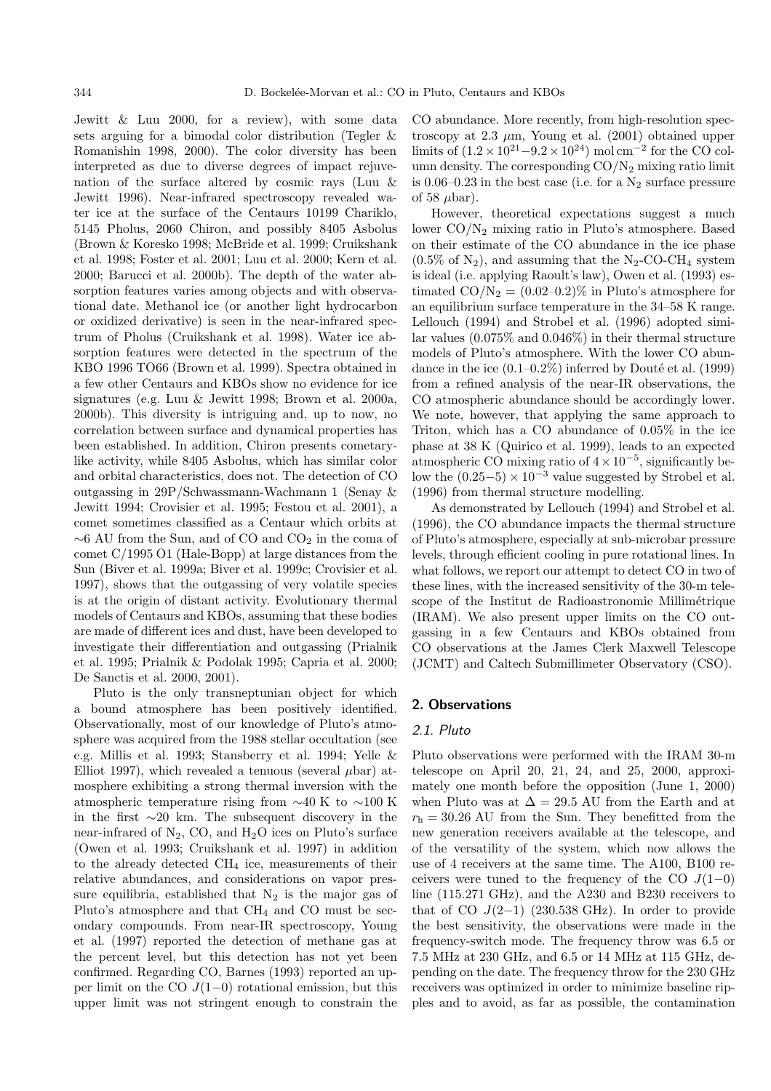Jewitt & Luu 2000, for a review), with some data sets arguing for a bimodal color distribution (Tegler & Romanishin 1998, 2000). The color diversity has been interpreted as due to diverse degrees of impact rejuvenation of the surface altered by cosmic rays (Luu & Jewitt 1996). Near-infrared spectroscopy revealed water ice at the surface of the Centaurs 10199 Chariklo, 5145 Pholus, 2060 Chiron, and possibly 8405 Asbolus (Brown & Koresko 1998; McBride et al. 1999; Cruikshank et al. 1998; Foster et al. 2001; Luu et al. 2000; Kern et al. 2000; Barucci et al. 2000b). The depth of the water absorption features varies among objects and with observational date. Methanol ice (or another light hydrocarbon or oxidized derivative) is seen in the near-infrared spectrum of Pholus (Cruikshank et al. 1998). Water ice absorption features were detected in the spectrum of the KBO 1996 TO66 (Brown et al. 1999). Spectra obtained in a few other Centaurs and KBOs show no evidence for ice signatures (e.g. Luu & Jewitt 1998; Brown et al. 2000a, 2000b). This diversity is intriguing and, up to now, no correlation between surface and dynamical properties has been established. In addition, Chiron presents cometarylike activity, while 8405 Asbolus, which has similar color and orbital characteristics, does not. The detection of CO outgassing in 29P/Schwassmann-Wachmann 1 (Senay & Jewitt 1994; Crovisier et al. 1995; Festou et al. 2001), a comet sometimes classified as a Centaur which orbits at  $~\sim 6$  AU from the Sun, and of CO and CO<sub>2</sub> in the coma of comet C/1995 O1 (Hale-Bopp) at large distances from the Sun (Biver et al. 1999a; Biver et al. 1999c; Crovisier et al. 1997), shows that the outgassing of very volatile species is at the origin of distant activity. Evolutionary thermal models of Centaurs and KBOs, assuming that these bodies are made of different ices and dust, have been developed to investigate their differentiation and outgassing (Prialnik et al. 1995; Prialnik & Podolak 1995; Capria et al. 2000; De Sanctis et al. 2000, 2001).

Pluto is the only transneptunian object for which a bound atmosphere has been positively identified. Observationally, most of our knowledge of Pluto's atmosphere was acquired from the 1988 stellar occultation (see e.g. Millis et al. 1993; Stansberry et al. 1994; Yelle & Elliot 1997), which revealed a tenuous (several  $\mu$ bar) atmosphere exhibiting a strong thermal inversion with the atmospheric temperature rising from ∼40 K to ∼100 K in the first ∼20 km. The subsequent discovery in the near-infrared of  $N_2$ , CO, and  $H_2O$  ices on Pluto's surface (Owen et al. 1993; Cruikshank et al. 1997) in addition to the already detected  $\text{CH}_4$  ice, measurements of their relative abundances, and considerations on vapor pressure equilibria, established that  $N_2$  is the major gas of Pluto's atmosphere and that CH<sup>4</sup> and CO must be secondary compounds. From near-IR spectroscopy, Young et al. (1997) reported the detection of methane gas at the percent level, but this detection has not yet been confirmed. Regarding CO, Barnes (1993) reported an upper limit on the CO  $J(1-0)$  rotational emission, but this upper limit was not stringent enough to constrain the CO abundance. More recently, from high-resolution spectroscopy at 2.3  $\mu$ m, Young et al. (2001) obtained upper limits of  $(1.2 \times 10^{21} - 9.2 \times 10^{24})$  mol cm<sup>-2</sup> for the CO column density. The corresponding  $CO/N<sub>2</sub>$  mixing ratio limit is  $0.06-0.23$  in the best case (i.e. for a  $N_2$  surface pressure of 58  $\mu$ bar).

However, theoretical expectations suggest a much lower  $CO/N_2$  mixing ratio in Pluto's atmosphere. Based on their estimate of the CO abundance in the ice phase  $(0.5\% \text{ of } N_2)$ , and assuming that the N<sub>2</sub>-CO-CH<sub>4</sub> system is ideal (i.e. applying Raoult's law), Owen et al. (1993) estimated  $CO/N_2 = (0.02{\text -}0.2)\%$  in Pluto's atmosphere for an equilibrium surface temperature in the 34–58 K range. Lellouch (1994) and Strobel et al. (1996) adopted similar values (0.075% and 0.046%) in their thermal structure models of Pluto's atmosphere. With the lower CO abundance in the ice  $(0.1-0.2\%)$  inferred by Douté et al. (1999) from a refined analysis of the near-IR observations, the CO atmospheric abundance should be accordingly lower. We note, however, that applying the same approach to Triton, which has a CO abundance of 0.05% in the ice phase at 38 K (Quirico et al. 1999), leads to an expected atmospheric CO mixing ratio of  $4 \times 10^{-5}$ , significantly below the  $(0.25-5) \times 10^{-3}$  value suggested by Strobel et al. (1996) from thermal structure modelling.

As demonstrated by Lellouch (1994) and Strobel et al. (1996), the CO abundance impacts the thermal structure of Pluto's atmosphere, especially at sub-microbar pressure levels, through efficient cooling in pure rotational lines. In what follows, we report our attempt to detect CO in two of these lines, with the increased sensitivity of the 30-m telescope of the Institut de Radioastronomie Millimétrique (IRAM). We also present upper limits on the CO outgassing in a few Centaurs and KBOs obtained from CO observations at the James Clerk Maxwell Telescope (JCMT) and Caltech Submillimeter Observatory (CSO).

## **2. Observations**

## 2.1. Pluto

Pluto observations were performed with the IRAM 30-m telescope on April 20, 21, 24, and 25, 2000, approximately one month before the opposition (June 1, 2000) when Pluto was at  $\Delta = 29.5$  AU from the Earth and at  $r_h = 30.26$  AU from the Sun. They benefitted from the new generation receivers available at the telescope, and of the versatility of the system, which now allows the use of 4 receivers at the same time. The A100, B100 receivers were tuned to the frequency of the CO  $J(1-0)$ line (115.271 GHz), and the A230 and B230 receivers to that of CO  $J(2-1)$  (230.538 GHz). In order to provide the best sensitivity, the observations were made in the frequency-switch mode. The frequency throw was 6.5 or 7.5 MHz at 230 GHz, and 6.5 or 14 MHz at 115 GHz, depending on the date. The frequency throw for the 230 GHz receivers was optimized in order to minimize baseline ripples and to avoid, as far as possible, the contamination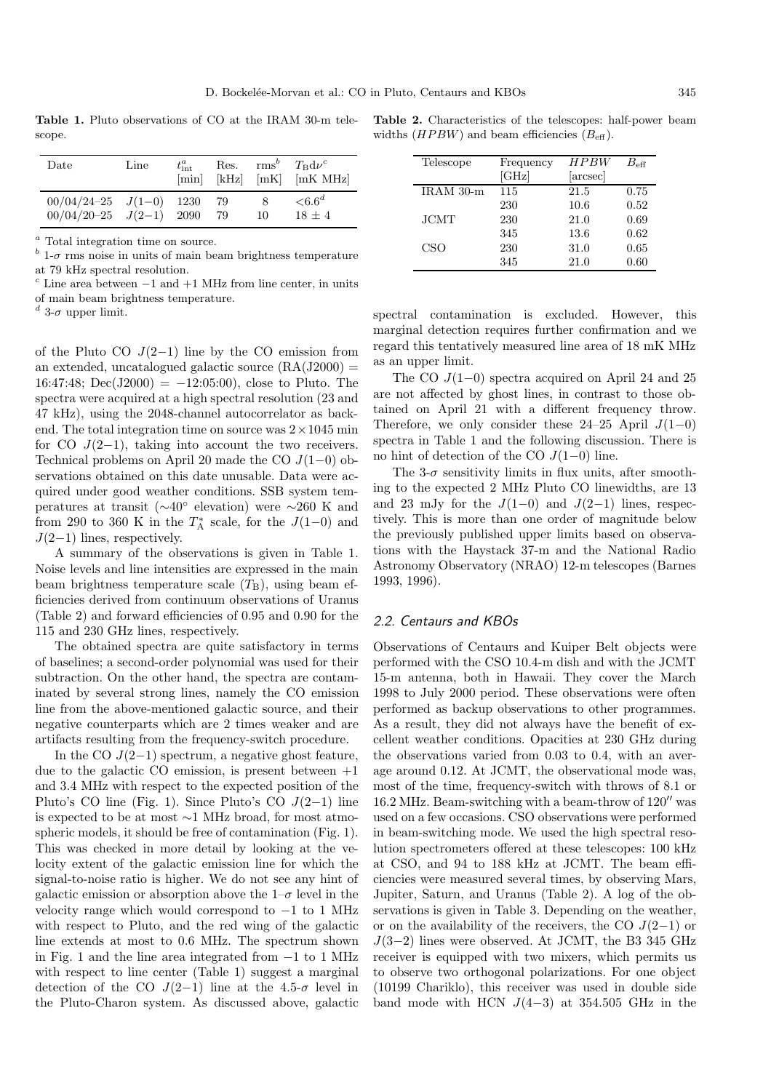**Table 1.** Pluto observations of CO at the IRAM 30-m telescope.

| Date                                                         | Line | $t_{\rm int}^a$<br>[min] | Res.<br>[kHz] | [mK] | $rms^b$ $T_B d\nu^c$<br>[mK MHz] |
|--------------------------------------------------------------|------|--------------------------|---------------|------|----------------------------------|
| $00/04/24-25$ $J(1-0)$ 1230<br>$00/04/20 - 25$ $J(2-1)$ 2090 |      |                          | -79<br>-79    | 10   | $<6.6^d$<br>$18 + 4$             |

<sup>a</sup> Total integration time on source.

 $\frac{b}{c}$  1- $\sigma$  rms noise in units of main beam brightness temperature at 79 kHz spectral resolution.

 $\epsilon$  Line area between  $-1$  and  $+1$  MHz from line center, in units of main beam brightness temperature.

<sup>d</sup> 3- $\sigma$  upper limit.

of the Pluto CO  $J(2-1)$  line by the CO emission from an extended, uncatalogued galactic source  $(RA(J2000) =$  $16:47:48$ ; Dec(J2000) =  $-12:05:00$ , close to Pluto. The spectra were acquired at a high spectral resolution (23 and 47 kHz), using the 2048-channel autocorrelator as backend. The total integration time on source was  $2 \times 1045$  min for CO  $J(2-1)$ , taking into account the two receivers. Technical problems on April 20 made the CO J(1−0) observations obtained on this date unusable. Data were acquired under good weather conditions. SSB system temperatures at transit (∼40◦ elevation) were ∼260 K and from 290 to 360 K in the  $T_A^*$  scale, for the  $J(1-0)$  and  $J(2-1)$  lines, respectively.

A summary of the observations is given in Table 1. Noise levels and line intensities are expressed in the main beam brightness temperature scale  $(T<sub>B</sub>)$ , using beam efficiencies derived from continuum observations of Uranus (Table 2) and forward efficiencies of 0.95 and 0.90 for the 115 and 230 GHz lines, respectively.

The obtained spectra are quite satisfactory in terms of baselines; a second-order polynomial was used for their subtraction. On the other hand, the spectra are contaminated by several strong lines, namely the CO emission line from the above-mentioned galactic source, and their negative counterparts which are 2 times weaker and are artifacts resulting from the frequency-switch procedure.

In the CO  $J(2-1)$  spectrum, a negative ghost feature, due to the galactic CO emission, is present between  $+1$ and 3.4 MHz with respect to the expected position of the Pluto's CO line (Fig. 1). Since Pluto's CO J(2−1) line is expected to be at most ∼1 MHz broad, for most atmospheric models, it should be free of contamination (Fig. 1). This was checked in more detail by looking at the velocity extent of the galactic emission line for which the signal-to-noise ratio is higher. We do not see any hint of galactic emission or absorption above the  $1-\sigma$  level in the velocity range which would correspond to  $-1$  to 1 MHz with respect to Pluto, and the red wing of the galactic line extends at most to 0.6 MHz. The spectrum shown in Fig. 1 and the line area integrated from −1 to 1 MHz with respect to line center (Table 1) suggest a marginal detection of the CO  $J(2-1)$  line at the 4.5- $\sigma$  level in the Pluto-Charon system. As discussed above, galactic

**Table 2.** Characteristics of the telescopes: half-power beam widths  $(HPBW)$  and beam efficiencies  $(B_{\text{eff}})$ .

| Telescope      | Frequency | HPBW     | $B_{\mathrm{eff}}$ |
|----------------|-----------|----------|--------------------|
|                | [GHz]     | [arcsec] |                    |
| $IRAM$ 30- $m$ | 115       | 21.5     | 0.75               |
|                | 230       | 10.6     | 0.52               |
| <b>JCMT</b>    | 230       | 21.0     | 0.69               |
|                | 345       | 13.6     | 0.62               |
| CSO            | 230       | 31.0     | 0.65               |
|                | 345       | 21.0     | 0.60               |

spectral contamination is excluded. However, this marginal detection requires further confirmation and we regard this tentatively measured line area of 18 mK MHz as an upper limit.

The CO J(1−0) spectra acquired on April 24 and 25 are not affected by ghost lines, in contrast to those obtained on April 21 with a different frequency throw. Therefore, we only consider these 24–25 April  $J(1-0)$ spectra in Table 1 and the following discussion. There is no hint of detection of the CO  $J(1-0)$  line.

The 3- $\sigma$  sensitivity limits in flux units, after smoothing to the expected 2 MHz Pluto CO linewidths, are 13 and 23 mJy for the  $J(1-0)$  and  $J(2-1)$  lines, respectively. This is more than one order of magnitude below the previously published upper limits based on observations with the Haystack 37-m and the National Radio Astronomy Observatory (NRAO) 12-m telescopes (Barnes 1993, 1996).

#### 2.2. Centaurs and KBOs

Observations of Centaurs and Kuiper Belt objects were performed with the CSO 10.4-m dish and with the JCMT 15-m antenna, both in Hawaii. They cover the March 1998 to July 2000 period. These observations were often performed as backup observations to other programmes. As a result, they did not always have the benefit of excellent weather conditions. Opacities at 230 GHz during the observations varied from 0.03 to 0.4, with an average around 0.12. At JCMT, the observational mode was, most of the time, frequency-switch with throws of 8.1 or  $16.2$  MHz. Beam-switching with a beam-throw of  $120''$  was used on a few occasions. CSO observations were performed in beam-switching mode. We used the high spectral resolution spectrometers offered at these telescopes: 100 kHz at CSO, and 94 to 188 kHz at JCMT. The beam efficiencies were measured several times, by observing Mars, Jupiter, Saturn, and Uranus (Table 2). A log of the observations is given in Table 3. Depending on the weather, or on the availability of the receivers, the CO  $J(2-1)$  or  $J(3-2)$  lines were observed. At JCMT, the B3 345 GHz receiver is equipped with two mixers, which permits us to observe two orthogonal polarizations. For one object (10199 Chariklo), this receiver was used in double side band mode with HCN  $J(4-3)$  at 354.505 GHz in the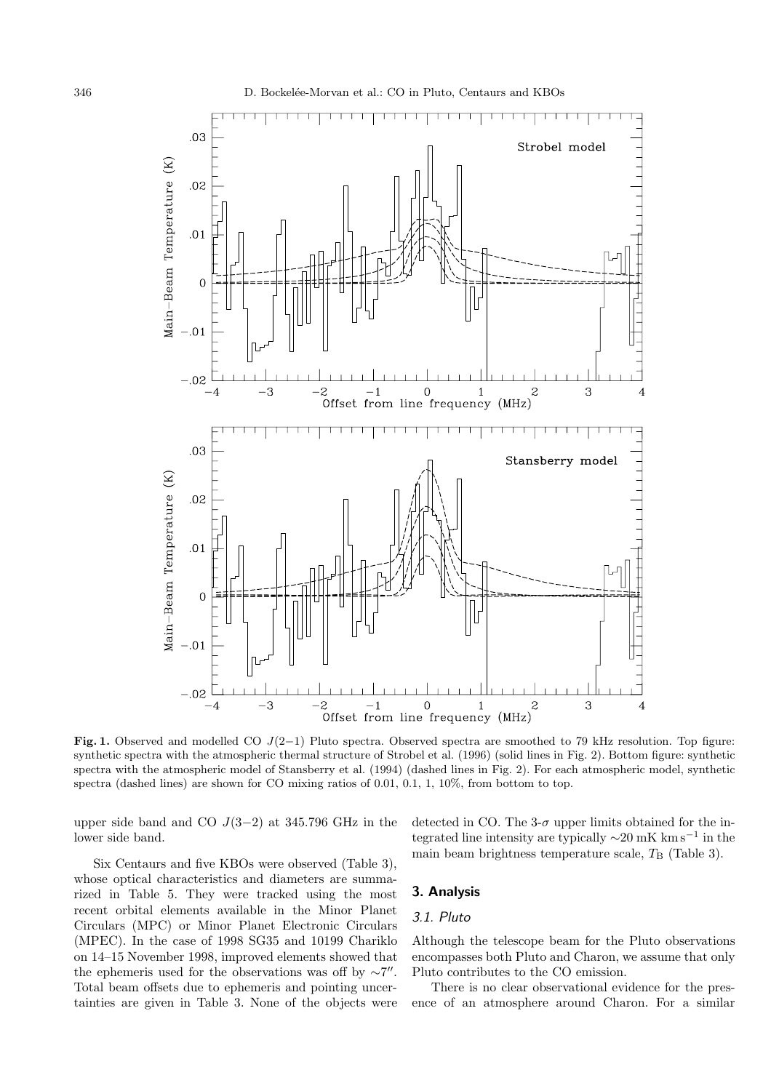

**Fig. 1.** Observed and modelled CO J(2−1) Pluto spectra. Observed spectra are smoothed to 79 kHz resolution. Top figure: synthetic spectra with the atmospheric thermal structure of Strobel et al. (1996) (solid lines in Fig. 2). Bottom figure: synthetic spectra with the atmospheric model of Stansberry et al. (1994) (dashed lines in Fig. 2). For each atmospheric model, synthetic spectra (dashed lines) are shown for CO mixing ratios of 0.01, 0.1, 1, 10%, from bottom to top.

upper side band and CO  $J(3-2)$  at 345.796 GHz in the lower side band.

detected in CO. The  $3-\sigma$  upper limits obtained for the integrated line intensity are typically  $\sim$ 20 mK km s<sup>−1</sup> in the main beam brightness temperature scale,  $T_B$  (Table 3).

Six Centaurs and five KBOs were observed (Table 3), whose optical characteristics and diameters are summarized in Table 5. They were tracked using the most recent orbital elements available in the Minor Planet Circulars (MPC) or Minor Planet Electronic Circulars (MPEC). In the case of 1998 SG35 and 10199 Chariklo on 14–15 November 1998, improved elements showed that the ephemeris used for the observations was off by  $\sim$ 7". Total beam offsets due to ephemeris and pointing uncertainties are given in Table 3. None of the objects were

# **3. Analysis**

## 3.1. Pluto

Although the telescope beam for the Pluto observations encompasses both Pluto and Charon, we assume that only Pluto contributes to the CO emission.

There is no clear observational evidence for the presence of an atmosphere around Charon. For a similar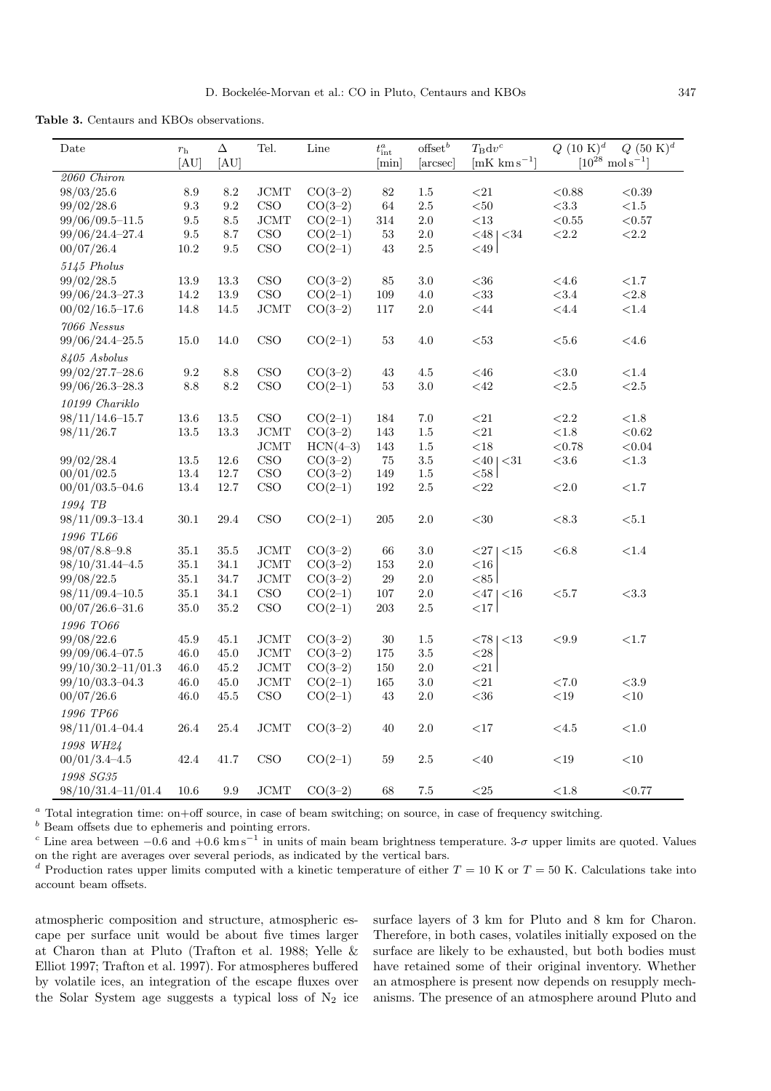**Table 3.** Centaurs and KBOs observations.

| Date                      | $r_{\rm h}$<br>[AU] | Δ<br>[AU]       | Tel.                        | Line       | $t^a_{\mathrm{int}}$<br>[min] | offset $\real^b$<br>[arcsec] | $T_{\rm B} {\rm d} v^c$<br>$[mK \text{ km s}^{-1}]$ | $Q~(10~{\rm K})^d$ | $Q~(50~{\rm K})^d$<br>$[10^{28} \text{ mol s}^{-1}]$ |
|---------------------------|---------------------|-----------------|-----------------------------|------------|-------------------------------|------------------------------|-----------------------------------------------------|--------------------|------------------------------------------------------|
|                           |                     |                 |                             |            |                               |                              |                                                     |                    |                                                      |
| 2060 Chiron<br>98/03/25.6 | $\ \, 8.9$          | $\!\!\!\!\!8.2$ | <b>JCMT</b>                 | $CO(3-2)$  | 82                            | 1.5                          | ${<}21\,$                                           | < 0.88             | < 0.39                                               |
| 99/02/28.6                | $\rm 9.3$           | 9.2             | CSO                         | $CO(3-2)$  | 64                            | $2.5\,$                      | $< \negthinspace 50$                                | <3.3               | $<\!\!1.5$                                           |
|                           |                     |                 | JCMT                        | $CO(2-1)$  |                               | $2.0\,$                      | $<\!\!13$                                           | $<\!\!0.55$        | $<\!0.57$                                            |
| $99/06/09.5 - 11.5$       | 9.5<br>9.5          | 8.5<br>8.7      | CSO                         | $CO(2-1)$  | 314<br>$53\,$                 | $2.0\,$                      |                                                     | ${<}2.2$           |                                                      |
| 99/06/24.4-27.4           |                     |                 |                             |            |                               |                              | $<$ 48   $<$ 34                                     |                    | ${<}2.2\,$                                           |
| 00/07/26.4                | $10.2\,$            | 9.5             | CSO                         | $CO(2-1)$  | 43                            | $2.5\,$                      | ${<}49$                                             |                    |                                                      |
| 5145 Pholus               |                     |                 |                             |            |                               |                              |                                                     |                    |                                                      |
| 99/02/28.5                | 13.9                | $13.3\,$        | $_{\rm CSO}$                | $CO(3-2)$  | 85                            | 3.0                          | $<\!\!36$                                           | ${<}4.6$           | ${<}1.7$                                             |
| 99/06/24.3-27.3           | 14.2                | 13.9            | CSO                         | $CO(2-1)$  | 109                           | 4.0                          | $< \negthinspace 33$                                | <3.4               | ${<}2.8\,$                                           |
| $00/02/16.5 - 17.6$       | 14.8                | 14.5            | $\rm JCMT$                  | $CO(3-2)$  | 117                           | $2.0\,$                      | $<\!\!44$                                           | $<$ 4.4            | $<\!1.4$                                             |
| 7066 Nessus               |                     |                 |                             |            |                               |                              |                                                     |                    |                                                      |
| 99/06/24.4-25.5           | 15.0                | 14.0            | CSO                         | $CO(2-1)$  | $53\,$                        | 4.0                          | $53$                                                | ${<}5.6$           | ${<}4.6$                                             |
| 8405 Asbolus              |                     |                 |                             |            |                               |                              |                                                     |                    |                                                      |
| $99/02/27.7 - 28.6$       | $\rm 9.2$           | $8.8\,$         | CSO                         | $CO(3-2)$  | $43\,$                        | 4.5                          | $<\!\!46$                                           | ${<}3.0\,$         | ${<}1.4\,$                                           |
| $99/06/26.3 - 28.3$       | $8.8\,$             | 8.2             | CSO                         | $CO(2-1)$  | 53                            | $3.0\,$                      | $<\!\!42$                                           | ${<}2.5$           | ${<}2.5\,$                                           |
| 10199 Chariklo            |                     |                 |                             |            |                               |                              |                                                     |                    |                                                      |
| $98/11/14.6 - 15.7$       | 13.6                | 13.5            | $_{\rm CSO}$                | $CO(2-1)$  | 184                           | 7.0                          | ${<}21$                                             | ${<}2.2$           | $<\!\!1.8$                                           |
| 98/11/26.7                | 13.5                | $13.3\,$        | JCMT                        | $CO(3-2)$  | 143                           | 1.5                          | ${<}21$                                             | ${<}1.8\,$         | < 0.62                                               |
|                           |                     |                 | <b>JCMT</b>                 | $HCN(4-3)$ | 143                           | 1.5                          | $<\!\!18$                                           | < 0.78             | < 0.04                                               |
| 99/02/28.4                | 13.5                | 12.6            | $_{\rm CSO}$                | $CO(3-2)$  | 75                            | $3.5\,$                      | $< 40$   $< 31$                                     | $<\!\!3.6$         | ${<}1.3\,$                                           |
| 00/01/02.5                | 13.4                | 12.7            | $_{\rm CSO}$                | $CO(3-2)$  | 149                           | $1.5\,$                      | $58$                                                |                    |                                                      |
| $00/01/03.5 - 04.6$       | 13.4                | $12.7\,$        | $\mathop{\rm CSO}\nolimits$ | $CO(2-1)$  | 192                           | 2.5                          | ${<}22\,$                                           | ${<}2.0$           | ${<}1.7$                                             |
| 1994 TB                   |                     |                 |                             |            |                               |                              |                                                     |                    |                                                      |
| $98/11/09.3 - 13.4$       | 30.1                | 29.4            | CSO                         | $CO(2-1)$  | 205                           | 2.0                          | ${<}30\,$                                           | $<\!8.3$           | $<\!5.1$                                             |
| 1996 TL66                 |                     |                 |                             |            |                               |                              |                                                     |                    |                                                      |
| $98/07/8.8 - 9.8$         | 35.1                | 35.5            | <b>JCMT</b>                 | $CO(3-2)$  | 66                            | 3.0                          | 271<br>${<}15$                                      | < 6.8              | ${<}1.4\,$                                           |
| $98/10/31.44 - 4.5$       | 35.1                | $34.1\,$        | JCMT                        | $CO(3-2)$  | 153                           | $2.0\,$                      | $<\!\!16$                                           |                    |                                                      |
| 99/08/22.5                | 35.1                | 34.7            | JCMT                        | $CO(3-2)$  | $\,29$                        | $2.0\,$                      | < 85                                                |                    |                                                      |
| $98/11/09.4 - 10.5$       | $35.1\,$            | $34.1\,$        | $\mathop{\rm CSO}\nolimits$ | $CO(2-1)$  | $107\,$                       | $2.0\,$                      | $<$ 47   $<$ 16                                     | $<\!\!5.7$         | $<\!\!3.3$                                           |
| $00/07/26.6 - 31.6$       | 35.0                | $35.2\,$        | CSO                         | $CO(2-1)$  | 203                           | $2.5\,$                      | $<$ 17                                              |                    |                                                      |
| 1996 TO66                 |                     |                 |                             |            |                               |                              |                                                     |                    |                                                      |
|                           |                     |                 |                             |            |                               |                              |                                                     |                    |                                                      |
| 99/08/22.6                | 45.9                | 45.1            | <b>JCMT</b><br>JCMT         | $CO(3-2)$  | 30                            | 1.5<br>$3.5\,$               | < 781<br><13                                        | ${<}9.9\,$         | ${<}1.7$                                             |
| $99/09/06.4 - 07.5$       | 46.0                | 45.0            |                             | $CO(3-2)$  | 175                           |                              | $<\!\!28$                                           |                    |                                                      |
| $99/10/30.2 - 11/01.3$    | 46.0                | 45.2            | JCMT                        | $CO(3-2)$  | 150                           | $2.0\,$                      | $\langle 21 \vert$                                  |                    |                                                      |
| $99/10/03.3 - 04.3$       | 46.0                | 45.0            | JCMT                        | $CO(2-1)$  | 165                           | 3.0                          | ${<}21$                                             | ${<}7.0$           | ${<}3.9$                                             |
| 00/07/26.6                | 46.0                | 45.5            | $_{\rm CSO}$                | $CO(2-1)$  | 43                            | $2.0\,$                      | $<\!\!36$                                           | $<\!19$            | ${<}10$                                              |
| 1996 TP66                 |                     |                 |                             |            |                               |                              |                                                     |                    |                                                      |
| 98/11/01.4-04.4           | 26.4                | $25.4\,$        | JCMT                        | $CO(3-2)$  | 40                            | $2.0\,$                      | ${<}17$                                             | ${<}4.5$           | ${<}1.0\,$                                           |
| 1998 WH24                 |                     |                 |                             |            |                               |                              |                                                     |                    |                                                      |
| $00/01/3.4 - 4.5$         | 42.4                | 41.7            | $_{\rm CSO}$                | $CO(2-1)$  | 59                            | $2.5\,$                      | $<$ 40                                              | ${<}19$            | ${<}10\,$                                            |
| 1998 SG35                 |                     |                 |                             |            |                               |                              |                                                     |                    |                                                      |
| 98/10/31.4-11/01.4        | 10.6                | 9.9             | JCMT                        | $CO(3-2)$  | 68                            | 7.5                          | ${<}25\,$                                           | ${<}1.8$           | < 0.77                                               |
|                           |                     |                 |                             |            |                               |                              |                                                     |                    |                                                      |

<sup>a</sup> Total integration time: on+off source, in case of beam switching; on source, in case of frequency switching.

 $\real^b$  Beam offsets due to ephemeris and pointing errors.

<sup>c</sup> Line area between  $-0.6$  and  $+0.6$  km s<sup>-1</sup> in units of main beam brightness temperature. 3- $\sigma$  upper limits are quoted. Values on the right are averages over several periods, as indicated by the vertical bars.

<sup>d</sup> Production rates upper limits computed with a kinetic temperature of either  $T = 10$  K or  $T = 50$  K. Calculations take into account beam offsets.

atmospheric composition and structure, atmospheric escape per surface unit would be about five times larger at Charon than at Pluto (Trafton et al. 1988; Yelle & Elliot 1997; Trafton et al. 1997). For atmospheres buffered by volatile ices, an integration of the escape fluxes over the Solar System age suggests a typical loss of  $N_2$  ice surface layers of 3 km for Pluto and 8 km for Charon. Therefore, in both cases, volatiles initially exposed on the surface are likely to be exhausted, but both bodies must have retained some of their original inventory. Whether an atmosphere is present now depends on resupply mechanisms. The presence of an atmosphere around Pluto and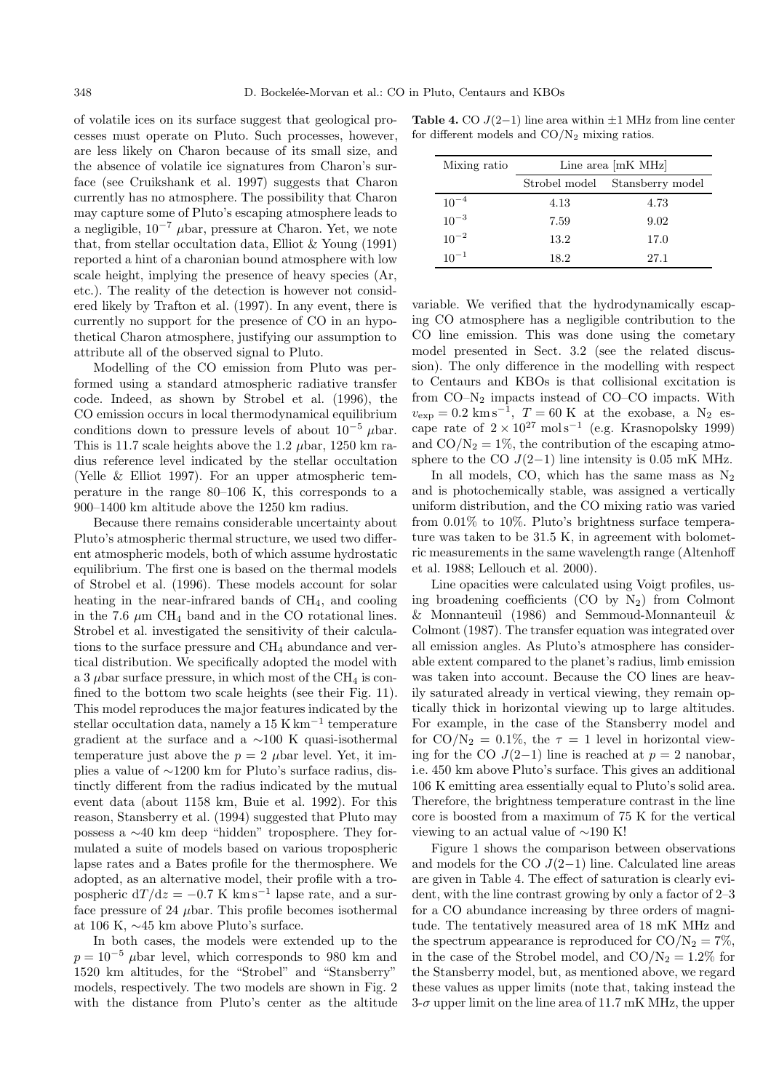of volatile ices on its surface suggest that geological processes must operate on Pluto. Such processes, however, are less likely on Charon because of its small size, and the absence of volatile ice signatures from Charon's surface (see Cruikshank et al. 1997) suggests that Charon currently has no atmosphere. The possibility that Charon may capture some of Pluto's escaping atmosphere leads to a negligible,  $10^{-7}$  µbar, pressure at Charon. Yet, we note that, from stellar occultation data, Elliot & Young (1991) reported a hint of a charonian bound atmosphere with low scale height, implying the presence of heavy species (Ar, etc.). The reality of the detection is however not considered likely by Trafton et al. (1997). In any event, there is currently no support for the presence of CO in an hypothetical Charon atmosphere, justifying our assumption to attribute all of the observed signal to Pluto.

Modelling of the CO emission from Pluto was performed using a standard atmospheric radiative transfer code. Indeed, as shown by Strobel et al. (1996), the CO emission occurs in local thermodynamical equilibrium conditions down to pressure levels of about  $10^{-5}$  µbar. This is 11.7 scale heights above the 1.2  $\mu$ bar, 1250 km radius reference level indicated by the stellar occultation (Yelle  $\&$  Elliot 1997). For an upper atmospheric temperature in the range 80–106 K, this corresponds to a 900–1400 km altitude above the 1250 km radius.

Because there remains considerable uncertainty about Pluto's atmospheric thermal structure, we used two different atmospheric models, both of which assume hydrostatic equilibrium. The first one is based on the thermal models of Strobel et al. (1996). These models account for solar heating in the near-infrared bands of CH4, and cooling in the 7.6  $\mu$ m CH<sub>4</sub> band and in the CO rotational lines. Strobel et al. investigated the sensitivity of their calculations to the surface pressure and  $CH<sub>4</sub>$  abundance and vertical distribution. We specifically adopted the model with a 3  $\mu$ bar surface pressure, in which most of the CH<sub>4</sub> is confined to the bottom two scale heights (see their Fig. 11). This model reproduces the major features indicated by the stellar occultation data, namely a  $15$  K km<sup>-1</sup> temperature gradient at the surface and a ∼100 K quasi-isothermal temperature just above the  $p = 2$   $\mu$ bar level. Yet, it implies a value of ∼1200 km for Pluto's surface radius, distinctly different from the radius indicated by the mutual event data (about 1158 km, Buie et al. 1992). For this reason, Stansberry et al. (1994) suggested that Pluto may possess a ∼40 km deep "hidden" troposphere. They formulated a suite of models based on various tropospheric lapse rates and a Bates profile for the thermosphere. We adopted, as an alternative model, their profile with a tropospheric dT/dz =  $-0.7$  K km s<sup>-1</sup> lapse rate, and a surface pressure of 24  $\mu$ bar. This profile becomes isothermal at 106 K, ∼45 km above Pluto's surface.

In both cases, the models were extended up to the  $p = 10^{-5}$  µbar level, which corresponds to 980 km and 1520 km altitudes, for the "Strobel" and "Stansberry" models, respectively. The two models are shown in Fig. 2 with the distance from Pluto's center as the altitude

**Table 4.** CO  $J(2-1)$  line area within  $\pm 1$  MHz from line center for different models and  $CO/N<sub>2</sub>$  mixing ratios.

| Mixing ratio | Line area $[mK \text{ MHz}]$ |                  |  |  |
|--------------|------------------------------|------------------|--|--|
|              | Strobel model                | Stansberry model |  |  |
| $10^{-4}$    | 4.13                         | 4.73             |  |  |
| $10^{-3}$    | 7.59                         | 9.02             |  |  |
| $10^{-2}$    | 13.2                         | 17.0             |  |  |
| $10^{-1}$    | 18.2                         | 27.1             |  |  |

variable. We verified that the hydrodynamically escaping CO atmosphere has a negligible contribution to the CO line emission. This was done using the cometary model presented in Sect. 3.2 (see the related discussion). The only difference in the modelling with respect to Centaurs and KBOs is that collisional excitation is from CO–N<sup>2</sup> impacts instead of CO–CO impacts. With  $v_{\rm exp} = 0.2 \text{ km s}^{-1}$ ,  $T = 60 \text{ K}$  at the exobase, a N<sub>2</sub> escape rate of  $2 \times 10^{27}$  mol s<sup>-1</sup> (e.g. Krasnopolsky 1999) and  $CO/N_2 = 1\%$ , the contribution of the escaping atmosphere to the CO  $J(2-1)$  line intensity is 0.05 mK MHz.

In all models, CO, which has the same mass as  $N_2$ and is photochemically stable, was assigned a vertically uniform distribution, and the CO mixing ratio was varied from 0.01% to 10%. Pluto's brightness surface temperature was taken to be 31.5 K, in agreement with bolometric measurements in the same wavelength range (Altenhoff et al. 1988; Lellouch et al. 2000).

Line opacities were calculated using Voigt profiles, using broadening coefficients  $(CO$  by  $N_2)$  from Colmont & Monnanteuil (1986) and Semmoud-Monnanteuil & Colmont (1987). The transfer equation was integrated over all emission angles. As Pluto's atmosphere has considerable extent compared to the planet's radius, limb emission was taken into account. Because the CO lines are heavily saturated already in vertical viewing, they remain optically thick in horizontal viewing up to large altitudes. For example, in the case of the Stansberry model and for CO/N<sub>2</sub> = 0.1\%, the  $\tau = 1$  level in horizontal viewing for the CO  $J(2-1)$  line is reached at  $p = 2$  nanobar, i.e. 450 km above Pluto's surface. This gives an additional 106 K emitting area essentially equal to Pluto's solid area. Therefore, the brightness temperature contrast in the line core is boosted from a maximum of 75 K for the vertical viewing to an actual value of ∼190 K!

Figure 1 shows the comparison between observations and models for the CO  $J(2-1)$  line. Calculated line areas are given in Table 4. The effect of saturation is clearly evident, with the line contrast growing by only a factor of 2–3 for a CO abundance increasing by three orders of magnitude. The tentatively measured area of 18 mK MHz and the spectrum appearance is reproduced for  $CO/N_2 = 7\%$ , in the case of the Strobel model, and  $CO/N_2 = 1.2\%$  for the Stansberry model, but, as mentioned above, we regard these values as upper limits (note that, taking instead the  $3-\sigma$  upper limit on the line area of 11.7 mK MHz, the upper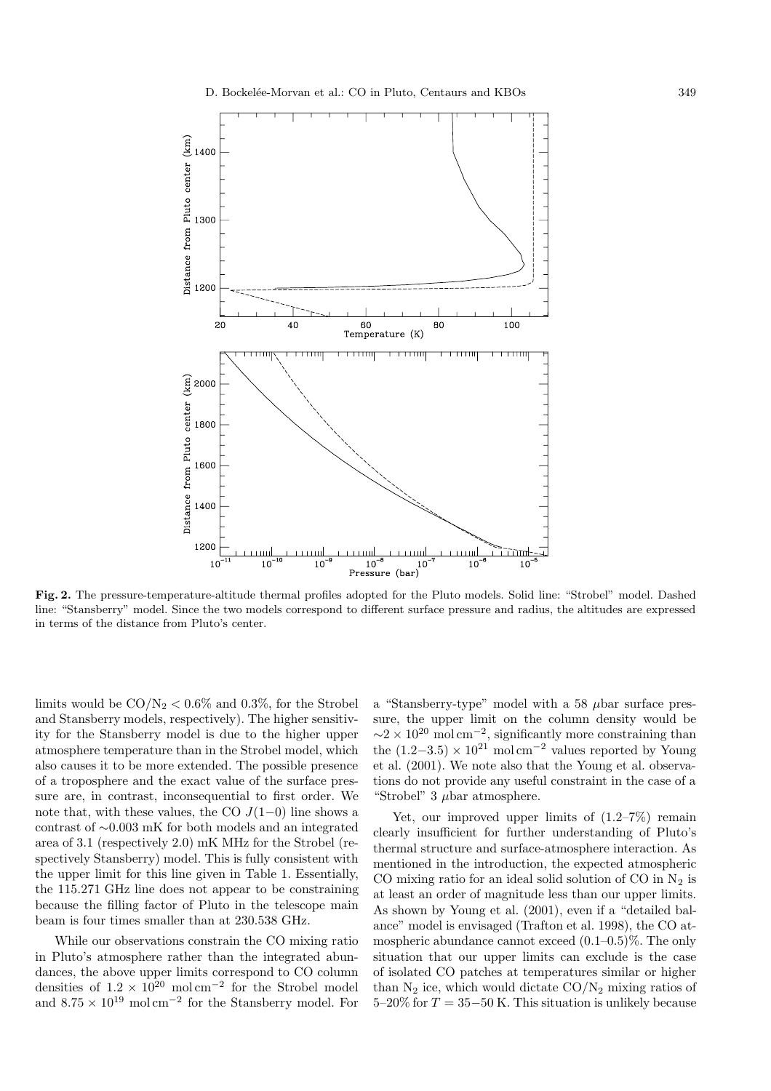

**Fig. 2.** The pressure-temperature-altitude thermal profiles adopted for the Pluto models. Solid line: "Strobel" model. Dashed line: "Stansberry" model. Since the two models correspond to different surface pressure and radius, the altitudes are expressed in terms of the distance from Pluto's center.

limits would be  $CO/N_2 < 0.6\%$  and 0.3%, for the Strobel and Stansberry models, respectively). The higher sensitivity for the Stansberry model is due to the higher upper atmosphere temperature than in the Strobel model, which also causes it to be more extended. The possible presence of a troposphere and the exact value of the surface pressure are, in contrast, inconsequential to first order. We note that, with these values, the CO  $J(1-0)$  line shows a contrast of ∼0.003 mK for both models and an integrated area of 3.1 (respectively 2.0) mK MHz for the Strobel (respectively Stansberry) model. This is fully consistent with the upper limit for this line given in Table 1. Essentially, the 115.271 GHz line does not appear to be constraining because the filling factor of Pluto in the telescope main beam is four times smaller than at 230.538 GHz.

While our observations constrain the CO mixing ratio in Pluto's atmosphere rather than the integrated abundances, the above upper limits correspond to CO column densities of  $1.2 \times 10^{20}$  mol cm<sup>-2</sup> for the Strobel model and  $8.75\times 10^{19}~\mathrm{mol\,cm^{-2}}$  for the Stansberry model. For a "Stansberry-type" model with a 58  $\mu$ bar surface pressure, the upper limit on the column density would be  $\sim$ 2 × 10<sup>20</sup> mol cm<sup>-2</sup>, significantly more constraining than the  $(1.2-3.5) \times 10^{21}$  mol cm<sup>-2</sup> values reported by Young et al. (2001). We note also that the Young et al. observations do not provide any useful constraint in the case of a "Strobel" 3 µbar atmosphere.

Yet, our improved upper limits of  $(1.2–7%)$  remain clearly insufficient for further understanding of Pluto's thermal structure and surface-atmosphere interaction. As mentioned in the introduction, the expected atmospheric CO mixing ratio for an ideal solid solution of CO in  $N_2$  is at least an order of magnitude less than our upper limits. As shown by Young et al. (2001), even if a "detailed balance" model is envisaged (Trafton et al. 1998), the CO atmospheric abundance cannot exceed  $(0.1-0.5)\%$ . The only situation that our upper limits can exclude is the case of isolated CO patches at temperatures similar or higher than  $N_2$  ice, which would dictate  $CO/N_2$  mixing ratios of  $5-20\%$  for  $T = 35-50$  K. This situation is unlikely because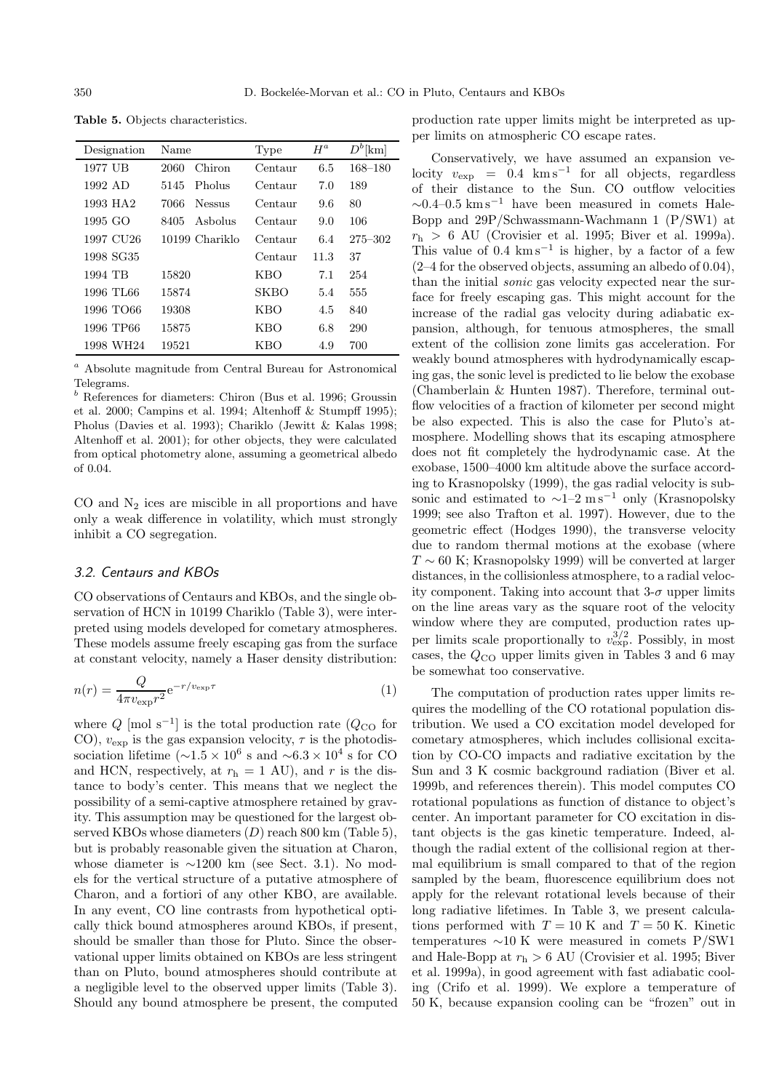| Designation           | Name                  | Type        | $H^a$ | $D^b$ [km]  |
|-----------------------|-----------------------|-------------|-------|-------------|
| 1977 UB               | Chiron<br>2060        | Centaur     | 6.5   | 168-180     |
| 1992 AD               | Pholus<br>5145        | Centaur     | 7.0   | 189         |
| 1993 HA <sub>2</sub>  | 7066<br><b>Nessus</b> | Centaur     | 9.6   | 80          |
| 1995 GO               | Asholus<br>8405       | Centaur     | 9.0   | 106         |
| 1997 CU <sub>26</sub> | 10199 Chariklo        | Centaur     | 6.4   | $275 - 302$ |
| 1998 SG35             |                       | Centaur     | 11.3  | 37          |
| 1994 TB               | 15820                 | <b>KBO</b>  | 7.1   | 254         |
| 1996 TL66             | 15874                 | <b>SKBO</b> | 5.4   | 555         |
| 1996 TO66             | 19308                 | <b>KBO</b>  | 4.5   | 840         |
| 1996 TP66             | 15875                 | <b>KBO</b>  | 6.8   | 290         |
| 1998 WH24             | 19521                 | KBO         | 4.9   | 700         |

**Table 5.** Objects characteristics.

 $^a$  Absolute magnitude from Central Bureau for Astronomical Telegrams.

 $b$  References for diameters: Chiron (Bus et al. 1996; Groussin et al. 2000; Campins et al. 1994; Altenhoff & Stumpff 1995); Pholus (Davies et al. 1993); Chariklo (Jewitt & Kalas 1998; Altenhoff et al. 2001); for other objects, they were calculated from optical photometry alone, assuming a geometrical albedo of 0.04.

CO and  $N_2$  ices are miscible in all proportions and have only a weak difference in volatility, which must strongly inhibit a CO segregation.

## 3.2. Centaurs and KBOs

CO observations of Centaurs and KBOs, and the single observation of HCN in 10199 Chariklo (Table 3), were interpreted using models developed for cometary atmospheres. These models assume freely escaping gas from the surface at constant velocity, namely a Haser density distribution:

$$
n(r) = \frac{Q}{4\pi v_{\exp}r^2} e^{-r/v_{\exp}\tau}
$$
 (1)

where  $Q \text{ [mol s}^{-1}]$  is the total production rate  $(Q_{\text{CO}}$  for CO),  $v_{\text{exp}}$  is the gas expansion velocity,  $\tau$  is the photodissociation lifetime ( $\sim$ 1.5 × 10<sup>6</sup> s and  $\sim$ 6.3 × 10<sup>4</sup> s for CO and HCN, respectively, at  $r<sub>h</sub> = 1$  AU), and r is the distance to body's center. This means that we neglect the possibility of a semi-captive atmosphere retained by gravity. This assumption may be questioned for the largest observed KBOs whose diameters  $(D)$  reach 800 km (Table 5). but is probably reasonable given the situation at Charon, whose diameter is ∼1200 km (see Sect. 3.1). No models for the vertical structure of a putative atmosphere of Charon, and a fortiori of any other KBO, are available. In any event, CO line contrasts from hypothetical optically thick bound atmospheres around KBOs, if present, should be smaller than those for Pluto. Since the observational upper limits obtained on KBOs are less stringent than on Pluto, bound atmospheres should contribute at a negligible level to the observed upper limits (Table 3). Should any bound atmosphere be present, the computed production rate upper limits might be interpreted as upper limits on atmospheric CO escape rates.

Conservatively, we have assumed an expansion velocity  $v_{\text{exp}} = 0.4 \text{ km s}^{-1}$  for all objects, regardless of their distance to the Sun. CO outflow velocities  $\sim$ 0.4–0.5 km s<sup>−1</sup> have been measured in comets Hale-Bopp and 29P/Schwassmann-Wachmann 1 (P/SW1) at  $r_{\rm h} > 6$  AU (Crovisier et al. 1995; Biver et al. 1999a). This value of  $0.4 \ \mathrm{km \, s^{-1}}$  is higher, by a factor of a few (2–4 for the observed objects, assuming an albedo of 0.04), than the initial sonic gas velocity expected near the surface for freely escaping gas. This might account for the increase of the radial gas velocity during adiabatic expansion, although, for tenuous atmospheres, the small extent of the collision zone limits gas acceleration. For weakly bound atmospheres with hydrodynamically escaping gas, the sonic level is predicted to lie below the exobase (Chamberlain & Hunten 1987). Therefore, terminal outflow velocities of a fraction of kilometer per second might be also expected. This is also the case for Pluto's atmosphere. Modelling shows that its escaping atmosphere does not fit completely the hydrodynamic case. At the exobase, 1500–4000 km altitude above the surface according to Krasnopolsky (1999), the gas radial velocity is subsonic and estimated to  $\sim$ 1–2 m s<sup>-1</sup> only (Krasnopolsky 1999; see also Trafton et al. 1997). However, due to the geometric effect (Hodges 1990), the transverse velocity due to random thermal motions at the exobase (where  $T \sim 60$  K; Krasnopolsky 1999) will be converted at larger distances, in the collisionless atmosphere, to a radial velocity component. Taking into account that  $3-\sigma$  upper limits on the line areas vary as the square root of the velocity window where they are computed, production rates upper limits scale proportionally to  $v_{\rm exp}^{3/2}$ . Possibly, in most cases, the  $Q_{\text{CO}}$  upper limits given in Tables 3 and 6 may be somewhat too conservative.

The computation of production rates upper limits requires the modelling of the CO rotational population distribution. We used a CO excitation model developed for cometary atmospheres, which includes collisional excitation by CO-CO impacts and radiative excitation by the Sun and 3 K cosmic background radiation (Biver et al. 1999b, and references therein). This model computes CO rotational populations as function of distance to object's center. An important parameter for CO excitation in distant objects is the gas kinetic temperature. Indeed, although the radial extent of the collisional region at thermal equilibrium is small compared to that of the region sampled by the beam, fluorescence equilibrium does not apply for the relevant rotational levels because of their long radiative lifetimes. In Table 3, we present calculations performed with  $T = 10$  K and  $T = 50$  K. Kinetic temperatures ∼10 K were measured in comets P/SW1 and Hale-Bopp at  $r<sub>h</sub> > 6$  AU (Crovisier et al. 1995; Biver et al. 1999a), in good agreement with fast adiabatic cooling (Crifo et al. 1999). We explore a temperature of 50 K, because expansion cooling can be "frozen" out in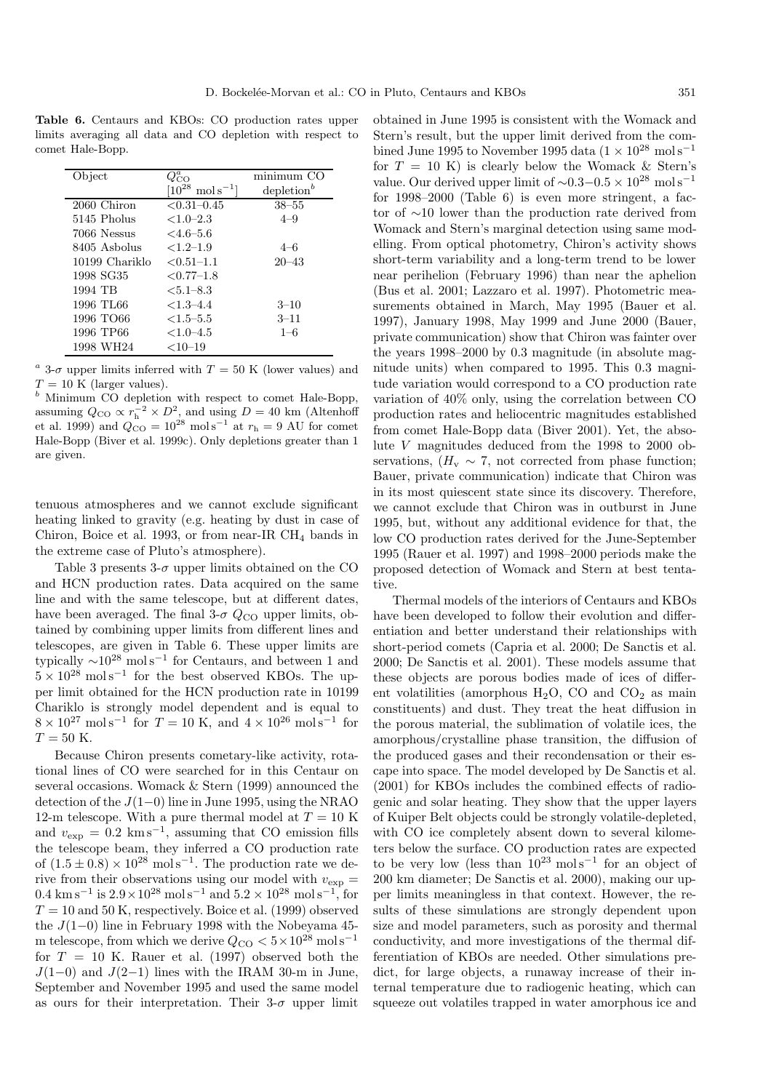**Table 6.** Centaurs and KBOs: CO production rates upper limits averaging all data and CO depletion with respect to comet Hale-Bopp.

| Object         | $Q^a_{\rm CO}$                 | minimum CO             |
|----------------|--------------------------------|------------------------|
|                | $[10^{28} \text{ mol s}^{-1}]$ | depletion <sup>b</sup> |
| 2060 Chiron    | $< 0.31 - 0.45$                | $38 - 55$              |
| 5145 Pholus    | $<1.0-2.3$                     | $4 - 9$                |
| 7066 Nessus    | $<4.6-5.6$                     |                        |
| 8405 Asbolus   | $<1.2-1.9$                     | $4 - 6$                |
| 10199 Chariklo | $< 0.51 - 1.1$                 | $20 - 43$              |
| 1998 SG35      | $< 0.77 - 1.8$                 |                        |
| 1994 TB        | $< 5.1 - 8.3$                  |                        |
| 1996 TL66      | $< 1.3 - 4.4$                  | $3 - 10$               |
| 1996 ТО66      | $< 1.5 - 5.5$                  | $3 - 11$               |
| 1996 TP66      | $< 1.0 - 4.5$                  | $1 - 6$                |
| 1998 WH24      | $<$ 10–19                      |                        |

<sup>a</sup> 3- $\sigma$  upper limits inferred with  $T = 50$  K (lower values) and  $T = 10$  K (larger values).

 $b$  Minimum CO depletion with respect to comet Hale-Bopp, assuming  $Q_{\text{CO}} \propto r_{\text{h}}^{-2} \times D_{\text{2}}^2$  and using  $D = 40 \text{ km}$  (Altenhoff et al. 1999) and  $Q_{\text{CO}} = 10^{28} \text{ mol s}^{-1}$  at  $r_{\text{h}} = 9 \text{ AU}$  for comet Hale-Bopp (Biver et al. 1999c). Only depletions greater than 1 are given.

tenuous atmospheres and we cannot exclude significant heating linked to gravity (e.g. heating by dust in case of Chiron, Boice et al. 1993, or from near-IR CH<sup>4</sup> bands in the extreme case of Pluto's atmosphere).

Table 3 presents  $3-\sigma$  upper limits obtained on the CO and HCN production rates. Data acquired on the same line and with the same telescope, but at different dates, have been averaged. The final  $3-\sigma$   $Q_{\rm CO}$  upper limits, obtained by combining upper limits from different lines and telescopes, are given in Table 6. These upper limits are typically  $\sim 10^{28}$  mol s<sup>-1</sup> for Centaurs, and between 1 and  $5 \times 10^{28}$  mol s<sup>-1</sup> for the best observed KBOs. The upper limit obtained for the HCN production rate in 10199 Chariklo is strongly model dependent and is equal to  $8 \times 10^{27}$  mol s<sup>-1</sup> for  $T = 10$  K, and  $4 \times 10^{26}$  mol s<sup>-1</sup> for  $T = 50$  K.

Because Chiron presents cometary-like activity, rotational lines of CO were searched for in this Centaur on several occasions. Womack & Stern (1999) announced the detection of the J(1−0) line in June 1995, using the NRAO 12-m telescope. With a pure thermal model at  $T = 10$  K and  $v_{\text{exp}} = 0.2 \text{ km s}^{-1}$ , assuming that CO emission fills the telescope beam, they inferred a CO production rate of  $(1.5 \pm 0.8) \times 10^{28}$  mol s<sup>-1</sup>. The production rate we derive from their observations using our model with  $v_{\text{exp}} =$  $0.4 \text{ km s}^{-1}$  is  $2.9 \times 10^{28} \text{ mol s}^{-1}$  and  $5.2 \times 10^{28} \text{ mol s}^{-1}$ , for  $T = 10$  and 50 K, respectively. Boice et al. (1999) observed the J(1−0) line in February 1998 with the Nobeyama 45 m telescope, from which we derive  $Q_{\text{CO}} < 5 \times 10^{28} \text{ mol s}^{-1}$ for  $T = 10$  K. Rauer et al. (1997) observed both the  $J(1-0)$  and  $J(2-1)$  lines with the IRAM 30-m in June, September and November 1995 and used the same model as ours for their interpretation. Their  $3-\sigma$  upper limit

obtained in June 1995 is consistent with the Womack and Stern's result, but the upper limit derived from the combined June 1995 to November 1995 data (1 × 10<sup>28</sup> mol s<sup>-1</sup> for  $T = 10$  K) is clearly below the Womack & Stern's value. Our derived upper limit of  $\sim 0.3-0.5 \times 10^{28}$  mol s<sup>-1</sup> for 1998–2000 (Table 6) is even more stringent, a factor of ∼10 lower than the production rate derived from Womack and Stern's marginal detection using same modelling. From optical photometry, Chiron's activity shows short-term variability and a long-term trend to be lower near perihelion (February 1996) than near the aphelion (Bus et al. 2001; Lazzaro et al. 1997). Photometric measurements obtained in March, May 1995 (Bauer et al. 1997), January 1998, May 1999 and June 2000 (Bauer, private communication) show that Chiron was fainter over the years 1998–2000 by 0.3 magnitude (in absolute magnitude units) when compared to 1995. This 0.3 magnitude variation would correspond to a CO production rate variation of 40% only, using the correlation between CO production rates and heliocentric magnitudes established from comet Hale-Bopp data (Biver 2001). Yet, the absolute V magnitudes deduced from the 1998 to 2000 observations,  $(H_v \sim 7$ , not corrected from phase function; Bauer, private communication) indicate that Chiron was in its most quiescent state since its discovery. Therefore, we cannot exclude that Chiron was in outburst in June 1995, but, without any additional evidence for that, the low CO production rates derived for the June-September 1995 (Rauer et al. 1997) and 1998–2000 periods make the proposed detection of Womack and Stern at best tentative.

Thermal models of the interiors of Centaurs and KBOs have been developed to follow their evolution and differentiation and better understand their relationships with short-period comets (Capria et al. 2000; De Sanctis et al. 2000; De Sanctis et al. 2001). These models assume that these objects are porous bodies made of ices of different volatilities (amorphous  $H_2O$ , CO and  $CO_2$  as main constituents) and dust. They treat the heat diffusion in the porous material, the sublimation of volatile ices, the amorphous/crystalline phase transition, the diffusion of the produced gases and their recondensation or their escape into space. The model developed by De Sanctis et al. (2001) for KBOs includes the combined effects of radiogenic and solar heating. They show that the upper layers of Kuiper Belt objects could be strongly volatile-depleted, with CO ice completely absent down to several kilometers below the surface. CO production rates are expected to be very low (less than  $10^{23}$  mol s<sup>-1</sup> for an object of 200 km diameter; De Sanctis et al. 2000), making our upper limits meaningless in that context. However, the results of these simulations are strongly dependent upon size and model parameters, such as porosity and thermal conductivity, and more investigations of the thermal differentiation of KBOs are needed. Other simulations predict, for large objects, a runaway increase of their internal temperature due to radiogenic heating, which can squeeze out volatiles trapped in water amorphous ice and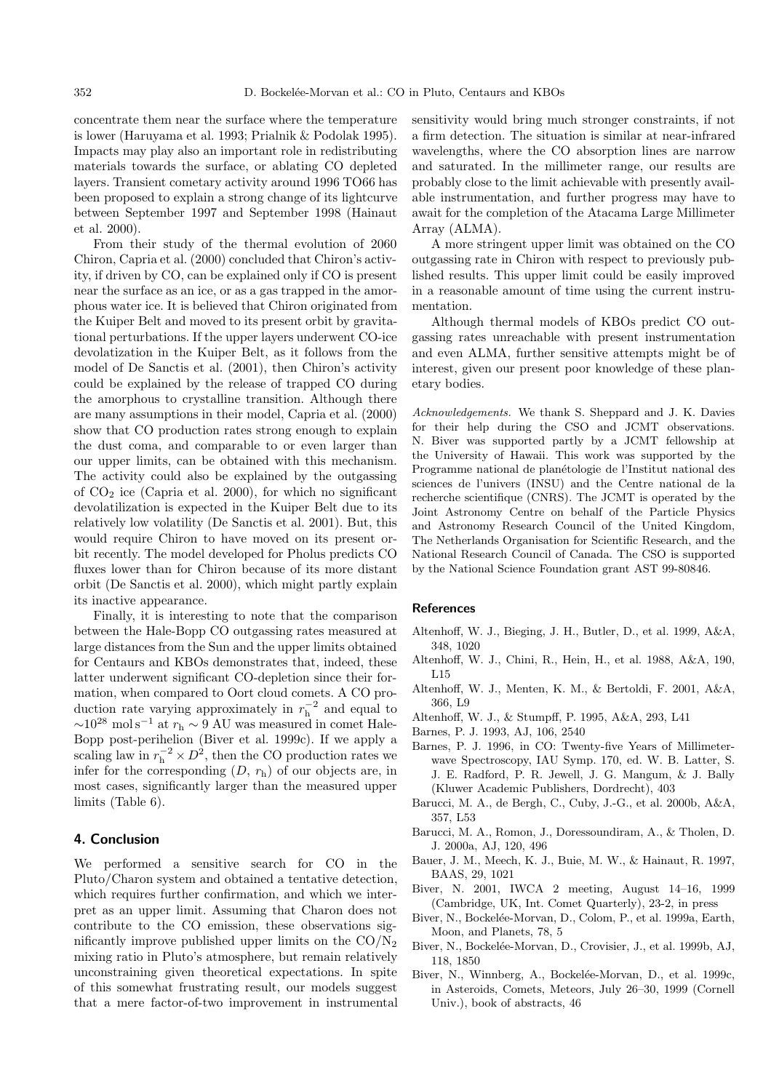concentrate them near the surface where the temperature is lower (Haruyama et al. 1993; Prialnik & Podolak 1995). Impacts may play also an important role in redistributing materials towards the surface, or ablating CO depleted layers. Transient cometary activity around 1996 TO66 has been proposed to explain a strong change of its lightcurve between September 1997 and September 1998 (Hainaut et al. 2000).

From their study of the thermal evolution of 2060 Chiron, Capria et al. (2000) concluded that Chiron's activity, if driven by CO, can be explained only if CO is present near the surface as an ice, or as a gas trapped in the amorphous water ice. It is believed that Chiron originated from the Kuiper Belt and moved to its present orbit by gravitational perturbations. If the upper layers underwent CO-ice devolatization in the Kuiper Belt, as it follows from the model of De Sanctis et al. (2001), then Chiron's activity could be explained by the release of trapped CO during the amorphous to crystalline transition. Although there are many assumptions in their model, Capria et al. (2000) show that CO production rates strong enough to explain the dust coma, and comparable to or even larger than our upper limits, can be obtained with this mechanism. The activity could also be explained by the outgassing of  $CO<sub>2</sub>$  ice (Capria et al. 2000), for which no significant devolatilization is expected in the Kuiper Belt due to its relatively low volatility (De Sanctis et al. 2001). But, this would require Chiron to have moved on its present orbit recently. The model developed for Pholus predicts CO fluxes lower than for Chiron because of its more distant orbit (De Sanctis et al. 2000), which might partly explain its inactive appearance.

Finally, it is interesting to note that the comparison between the Hale-Bopp CO outgassing rates measured at large distances from the Sun and the upper limits obtained for Centaurs and KBOs demonstrates that, indeed, these latter underwent significant CO-depletion since their formation, when compared to Oort cloud comets. A CO production rate varying approximately in  $r_h^{-2}$  and equal to  $\sim$ 10<sup>28</sup> mol s<sup>−1</sup> at  $r<sub>h</sub>$  ~ 9 AU was measured in comet Hale-Bopp post-perihelion (Biver et al. 1999c). If we apply a scaling law in  $r_h^{-2} \times D^2$ , then the CO production rates we infer for the corresponding  $(D, r_h)$  of our objects are, in most cases, significantly larger than the measured upper limits (Table 6).

## **4. Conclusion**

We performed a sensitive search for CO in the Pluto/Charon system and obtained a tentative detection, which requires further confirmation, and which we interpret as an upper limit. Assuming that Charon does not contribute to the CO emission, these observations significantly improve published upper limits on the  $CO/N<sub>2</sub>$ mixing ratio in Pluto's atmosphere, but remain relatively unconstraining given theoretical expectations. In spite of this somewhat frustrating result, our models suggest that a mere factor-of-two improvement in instrumental sensitivity would bring much stronger constraints, if not a firm detection. The situation is similar at near-infrared wavelengths, where the CO absorption lines are narrow and saturated. In the millimeter range, our results are probably close to the limit achievable with presently available instrumentation, and further progress may have to await for the completion of the Atacama Large Millimeter Array (ALMA).

A more stringent upper limit was obtained on the CO outgassing rate in Chiron with respect to previously published results. This upper limit could be easily improved in a reasonable amount of time using the current instrumentation.

Although thermal models of KBOs predict CO outgassing rates unreachable with present instrumentation and even ALMA, further sensitive attempts might be of interest, given our present poor knowledge of these planetary bodies.

Acknowledgements. We thank S. Sheppard and J. K. Davies for their help during the CSO and JCMT observations. N. Biver was supported partly by a JCMT fellowship at the University of Hawaii. This work was supported by the Programme national de planétologie de l'Institut national des sciences de l'univers (INSU) and the Centre national de la recherche scientifique (CNRS). The JCMT is operated by the Joint Astronomy Centre on behalf of the Particle Physics and Astronomy Research Council of the United Kingdom, The Netherlands Organisation for Scientific Research, and the National Research Council of Canada. The CSO is supported by the National Science Foundation grant AST 99-80846.

#### **References**

- Altenhoff, W. J., Bieging, J. H., Butler, D., et al. 1999, A&A, 348, 1020
- Altenhoff, W. J., Chini, R., Hein, H., et al. 1988, A&A, 190, L15
- Altenhoff, W. J., Menten, K. M., & Bertoldi, F. 2001, A&A, 366, L9
- Altenhoff, W. J., & Stumpff, P. 1995, A&A, 293, L41
- Barnes, P. J. 1993, AJ, 106, 2540
- Barnes, P. J. 1996, in CO: Twenty-five Years of Millimeterwave Spectroscopy, IAU Symp. 170, ed. W. B. Latter, S. J. E. Radford, P. R. Jewell, J. G. Mangum, & J. Bally (Kluwer Academic Publishers, Dordrecht), 403
- Barucci, M. A., de Bergh, C., Cuby, J.-G., et al. 2000b, A&A, 357, L53
- Barucci, M. A., Romon, J., Doressoundiram, A., & Tholen, D. J. 2000a, AJ, 120, 496
- Bauer, J. M., Meech, K. J., Buie, M. W., & Hainaut, R. 1997, BAAS, 29, 1021
- Biver, N. 2001, IWCA 2 meeting, August 14–16, 1999 (Cambridge, UK, Int. Comet Quarterly), 23-2, in press
- Biver, N., Bockelée-Morvan, D., Colom, P., et al. 1999a, Earth, Moon, and Planets, 78, 5
- Biver, N., Bockelée-Morvan, D., Crovisier, J., et al. 1999b, AJ, 118, 1850
- Biver, N., Winnberg, A., Bockelée-Morvan, D., et al. 1999c, in Asteroids, Comets, Meteors, July 26–30, 1999 (Cornell Univ.), book of abstracts, 46